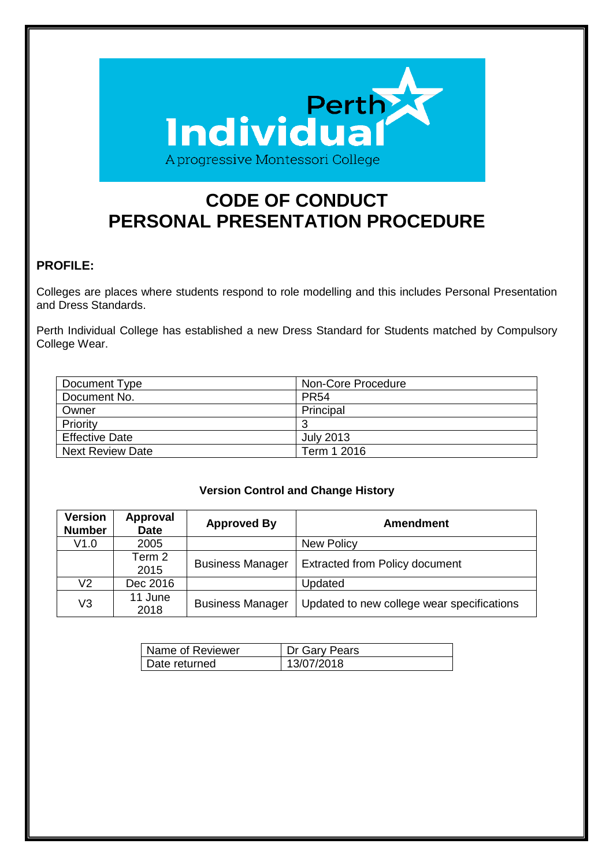

# **CODE OF CONDUCT PERSONAL PRESENTATION PROCEDURE**

## **PROFILE:**

Colleges are places where students respond to role modelling and this includes Personal Presentation and Dress Standards.

Perth Individual College has established a new Dress Standard for Students matched by Compulsory College Wear.

| Document Type           | Non-Core Procedure |
|-------------------------|--------------------|
| Document No.            | <b>PR54</b>        |
| Owner                   | Principal          |
| Priority                | ാ                  |
| <b>Effective Date</b>   | <b>July 2013</b>   |
| <b>Next Review Date</b> | Term 1 2016        |

#### **Version Control and Change History**

| <b>Version</b><br><b>Number</b> | <b>Approval</b><br><b>Date</b> | <b>Approved By</b>      | <b>Amendment</b>                           |
|---------------------------------|--------------------------------|-------------------------|--------------------------------------------|
| V1.0                            | 2005                           |                         | New Policy                                 |
|                                 | Term 2<br>2015                 | <b>Business Manager</b> | <b>Extracted from Policy document</b>      |
| V2.                             | Dec 2016                       |                         | Updated                                    |
| V3                              | 11 June<br>2018                | <b>Business Manager</b> | Updated to new college wear specifications |

| Name of Reviewer | Dr Gary Pears |
|------------------|---------------|
| Date returned    | 13/07/2018    |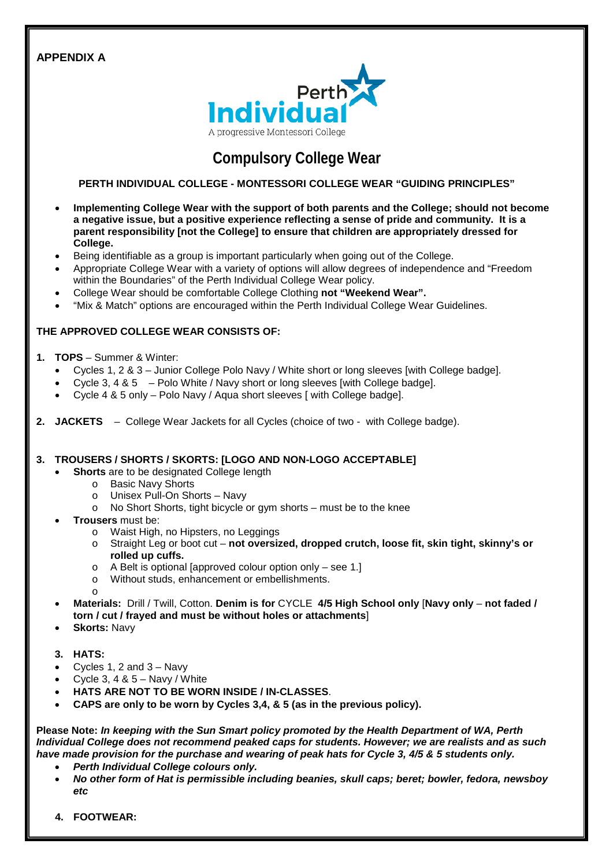### **APPENDIX A**



## **Compulsory College Wear**

#### **PERTH INDIVIDUAL COLLEGE - MONTESSORI COLLEGE WEAR "GUIDING PRINCIPLES"**

- **Implementing College Wear with the support of both parents and the College; should not become a negative issue, but a positive experience reflecting a sense of pride and community. It is a parent responsibility [not the College] to ensure that children are appropriately dressed for College.**
- Being identifiable as a group is important particularly when going out of the College.
- Appropriate College Wear with a variety of options will allow degrees of independence and "Freedom within the Boundaries" of the Perth Individual College Wear policy.
- College Wear should be comfortable College Clothing **not "Weekend Wear".**
- "Mix & Match" options are encouraged within the Perth Individual College Wear Guidelines.

#### **THE APPROVED COLLEGE WEAR CONSISTS OF:**

- **1. TOPS** Summer & Winter:
	- Cycles 1, 2 & 3 Junior College Polo Navy / White short or long sleeves [with College badge].
	- Cycle 3, 4 & 5 Polo White / Navy short or long sleeves [with College badge].
	- Cycle 4 & 5 only Polo Navy / Aqua short sleeves [ with College badge].
- **2. JACKETS** College Wear Jackets for all Cycles (choice of two with College badge).

#### **3. TROUSERS / SHORTS / SKORTS: [LOGO AND NON-LOGO ACCEPTABLE]**

- **Shorts** are to be designated College length
	- o Basic Navy Shorts
	- o Unisex Pull-On Shorts Navy
	- o No Short Shorts, tight bicycle or gym shorts must be to the knee
- **Trousers** must be:
	- o Waist High, no Hipsters, no Leggings
	- o Straight Leg or boot cut **not oversized, dropped crutch, loose fit, skin tight, skinny's or rolled up cuffs.**
	- o A Belt is optional [approved colour option only see 1.]
	- o Without studs, enhancement or embellishments.
	- o
- **Materials:** Drill / Twill, Cotton. **Denim is for** CYCLE **4/5 High School only** [**Navy only not faded / torn / cut / frayed and must be without holes or attachments**]
- **Skorts:** Navy
- **3. HATS:**
- Cycles 1, 2 and  $3 -$  Navy
- Cycle 3, 4 &  $5 -$  Navy / White
- **HATS ARE NOT TO BE WORN INSIDE / IN-CLASSES**.
- **CAPS are only to be worn by Cycles 3,4, & 5 (as in the previous policy).**

**Please Note:** *In keeping with the Sun Smart policy promoted by the Health Department of WA, Perth Individual College does not recommend peaked caps for students. However; we are realists and as such have made provision for the purchase and wearing of peak hats for Cycle 3, 4/5 & 5 students only.*

- *Perth Individual College colours only.*
- *No other form of Hat is permissible including beanies, skull caps; beret; bowler, fedora, newsboy etc*
- **4. FOOTWEAR:**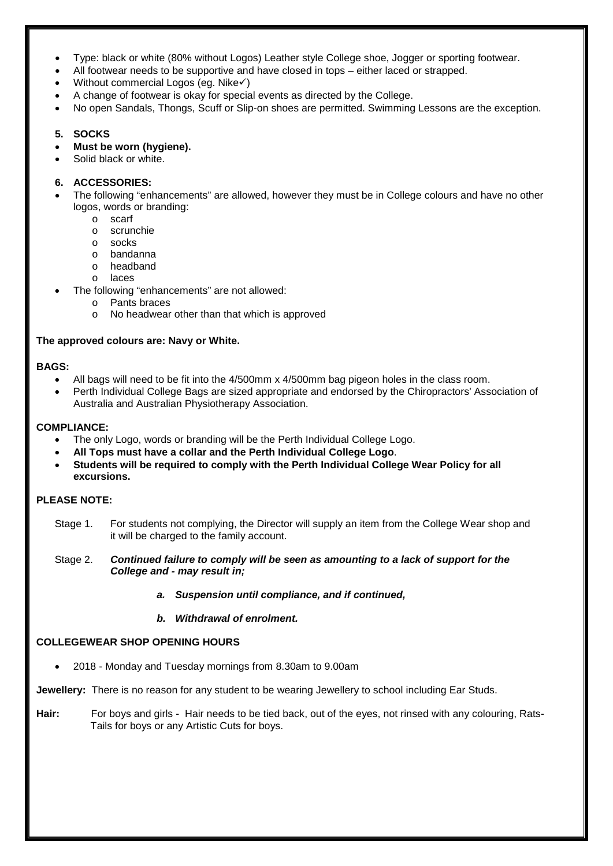- Type: black or white (80% without Logos) Leather style College shoe, Jogger or sporting footwear.
- All footwear needs to be supportive and have closed in tops either laced or strapped.
- Without commercial Logos (eg. Nike $\checkmark$ )
- A change of footwear is okay for special events as directed by the College.
- No open Sandals, Thongs, Scuff or Slip-on shoes are permitted. Swimming Lessons are the exception.

#### **5. SOCKS**

- **Must be worn (hygiene).**
- Solid black or white.

#### **6. ACCESSORIES:**

- The following "enhancements" are allowed, however they must be in College colours and have no other logos, words or branding:
	- o scarf
	- o scrunchie<br>o socks
	- socks
	- o bandanna
	- o headband
	- o laces
- The following "enhancements" are not allowed:
	- o Pants braces
	- o No headwear other than that which is approved

#### **The approved colours are: Navy or White.**

#### **BAGS:**

- All bags will need to be fit into the 4/500mm x 4/500mm bag pigeon holes in the class room.
- Perth Individual College Bags are sized appropriate and endorsed by the Chiropractors' Association of Australia and Australian Physiotherapy Association.

#### **COMPLIANCE:**

- The only Logo, words or branding will be the Perth Individual College Logo.
- **All Tops must have a collar and the Perth Individual College Logo**.
- **Students will be required to comply with the Perth Individual College Wear Policy for all excursions.**

#### **PLEASE NOTE:**

Stage 1. For students not complying, the Director will supply an item from the College Wear shop and it will be charged to the family account.

Stage 2. *Continued failure to comply will be seen as amounting to a lack of support for the College and - may result in;* 

- *a. Suspension until compliance, and if continued,*
- *b. Withdrawal of enrolment.*

#### **COLLEGEWEAR SHOP OPENING HOURS**

• 2018 - Monday and Tuesday mornings from 8.30am to 9.00am

**Jewellery:** There is no reason for any student to be wearing Jewellery to school including Ear Studs.

Hair: For boys and girls - Hair needs to be tied back, out of the eyes, not rinsed with any colouring, Rats-Tails for boys or any Artistic Cuts for boys.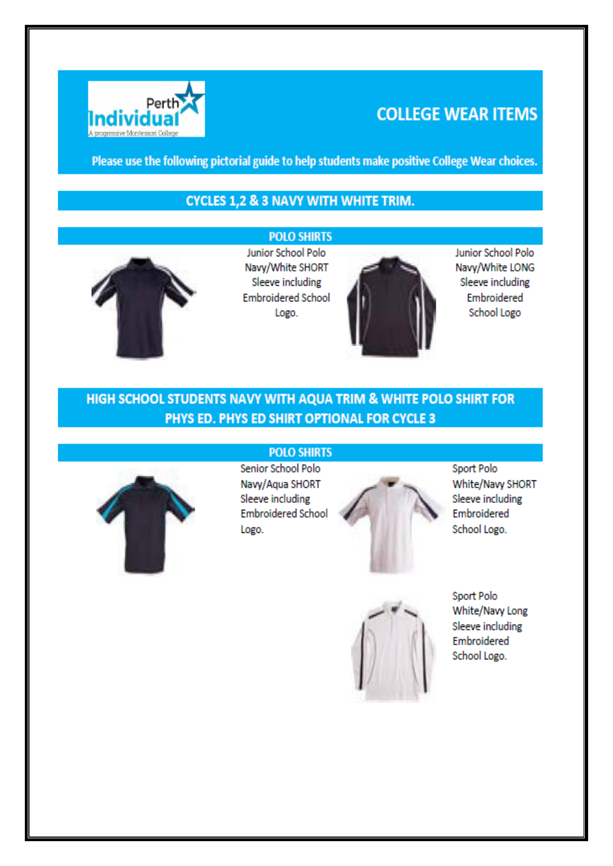

# **COLLEGE WEAR ITEMS**

Please use the following pictorial guide to help students make positive College Wear choices.

## **CYCLES 1,2 & 3 NAVY WITH WHITE TRIM.**



**POLO SHIRTS** Junior School Polo Navy/White SHORT Sleeve including **Embroidered School** Logo.



Junior School Polo Navy/White LONG Sleeve including Embroidered School Logo

## HIGH SCHOOL STUDENTS NAVY WITH AQUA TRIM & WHITE POLO SHIRT FOR PHYS ED. PHYS ED SHIRT OPTIONAL FOR CYCLE 3



## **POLO SHIRTS**

Senior School Polo Navy/Aqua SHORT Sleeve including **Embroidered School** Logo.



Sport Polo White/Navy SHORT Sleeve including Embroidered School Logo.



Sport Polo White/Navy Long Sleeve including Embroidered School Logo.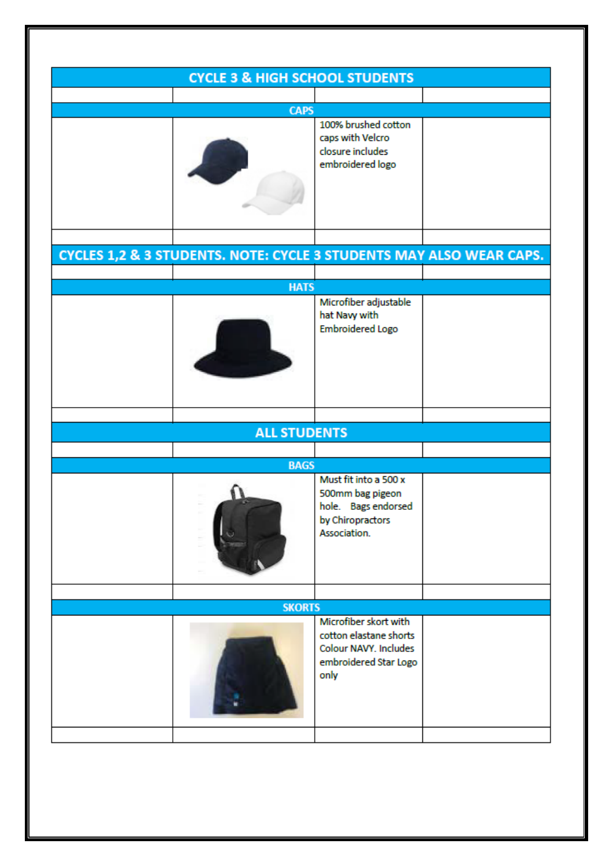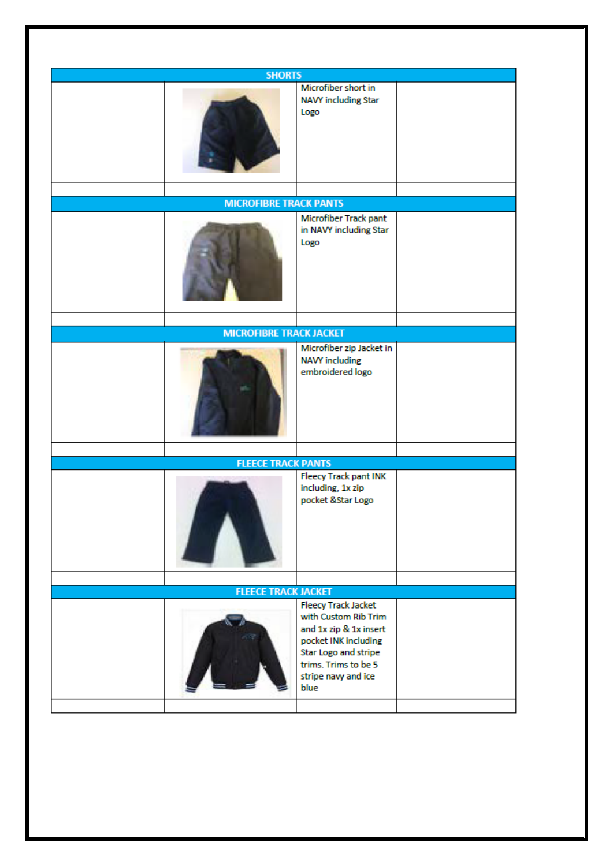|  | <b>SHORTS</b>                  |                                                                                                                                                                                     |  |
|--|--------------------------------|-------------------------------------------------------------------------------------------------------------------------------------------------------------------------------------|--|
|  |                                | Microfiber short in<br>NAVY including Star<br>Logo                                                                                                                                  |  |
|  |                                |                                                                                                                                                                                     |  |
|  |                                |                                                                                                                                                                                     |  |
|  |                                | Microfiber Track pant<br>in NAVY including Star<br>Logo                                                                                                                             |  |
|  |                                |                                                                                                                                                                                     |  |
|  | <b>MICROFIBRE TRACK JACKET</b> |                                                                                                                                                                                     |  |
|  |                                | Microfiber zip Jacket in<br><b>NAVY including</b><br>embroidered logo                                                                                                               |  |
|  |                                |                                                                                                                                                                                     |  |
|  | <b>FLEECE TRACK PANTS</b>      |                                                                                                                                                                                     |  |
|  |                                | <b>Fleecy Track pant INK</b><br>including, 1x zip<br>pocket ⋆ Logo                                                                                                                  |  |
|  |                                |                                                                                                                                                                                     |  |
|  | <b>FLEECE TRACK JACKET</b>     |                                                                                                                                                                                     |  |
|  |                                | <b>Fleecy Track Jacket</b><br>with Custom Rib Trim<br>and 1x zip & 1x insert<br>pocket INK including<br>Star Logo and stripe<br>trims. Trims to be 5<br>stripe navy and ice<br>blue |  |
|  |                                |                                                                                                                                                                                     |  |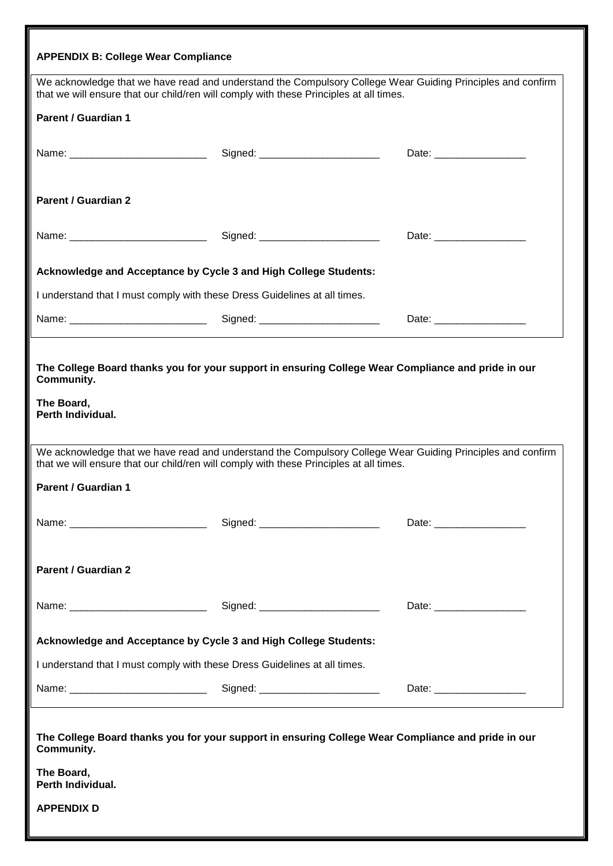| <b>APPENDIX B: College Wear Compliance</b>                                |                                                                                                                                                                                                      |                                  |
|---------------------------------------------------------------------------|------------------------------------------------------------------------------------------------------------------------------------------------------------------------------------------------------|----------------------------------|
|                                                                           | We acknowledge that we have read and understand the Compulsory College Wear Guiding Principles and confirm<br>that we will ensure that our child/ren will comply with these Principles at all times. |                                  |
| <b>Parent / Guardian 1</b>                                                |                                                                                                                                                                                                      |                                  |
|                                                                           | Signed: _________________________                                                                                                                                                                    |                                  |
| <b>Parent / Guardian 2</b>                                                |                                                                                                                                                                                                      |                                  |
|                                                                           |                                                                                                                                                                                                      | Date: <u>___________________</u> |
| Acknowledge and Acceptance by Cycle 3 and High College Students:          |                                                                                                                                                                                                      |                                  |
| I understand that I must comply with these Dress Guidelines at all times. |                                                                                                                                                                                                      |                                  |
|                                                                           |                                                                                                                                                                                                      |                                  |
| <b>Community.</b><br>The Board,<br>Perth Individual.                      | The College Board thanks you for your support in ensuring College Wear Compliance and pride in our                                                                                                   |                                  |
|                                                                           | We acknowledge that we have read and understand the Compulsory College Wear Guiding Principles and confirm<br>that we will ensure that our child/ren will comply with these Principles at all times. |                                  |
| <b>Parent / Guardian 1</b>                                                |                                                                                                                                                                                                      |                                  |
|                                                                           | Signed: _________________________                                                                                                                                                                    |                                  |
| <b>Parent / Guardian 2</b>                                                |                                                                                                                                                                                                      |                                  |
|                                                                           |                                                                                                                                                                                                      | Date: ___________________        |
| Acknowledge and Acceptance by Cycle 3 and High College Students:          |                                                                                                                                                                                                      |                                  |
| I understand that I must comply with these Dress Guidelines at all times. |                                                                                                                                                                                                      |                                  |
|                                                                           |                                                                                                                                                                                                      | Date: _______________________    |
| Community.                                                                | The College Board thanks you for your support in ensuring College Wear Compliance and pride in our                                                                                                   |                                  |
| The Board,<br>Perth Individual.                                           |                                                                                                                                                                                                      |                                  |
| <b>APPENDIX D</b>                                                         |                                                                                                                                                                                                      |                                  |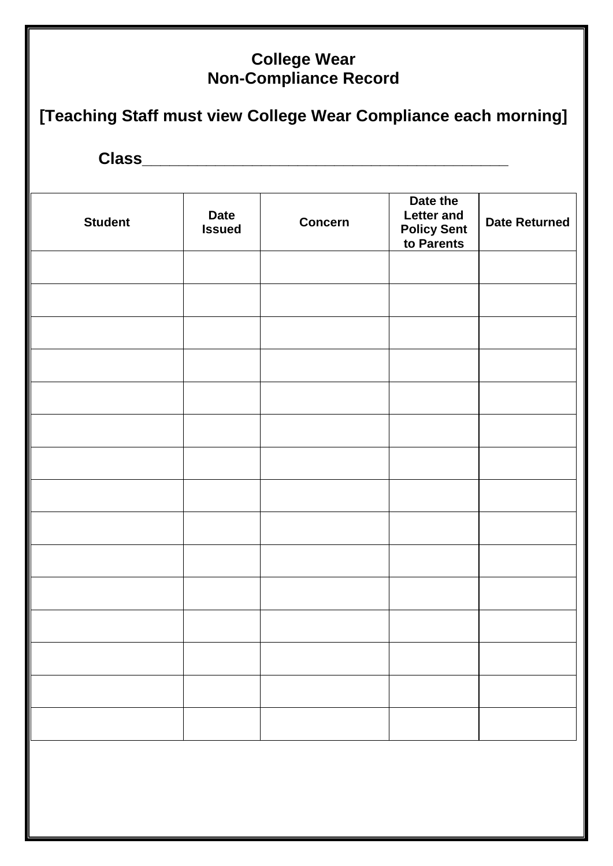# **College Wear Non-Compliance Record [Teaching Staff must view College Wear Compliance each morning] Class\_\_\_\_\_\_\_\_\_\_\_\_\_\_\_\_\_\_\_\_\_\_\_\_\_\_\_\_\_\_\_\_\_\_\_\_\_\_\_\_ Student** Date **Issued Concern Date the Letter and Policy Sent to Parents Date Returned**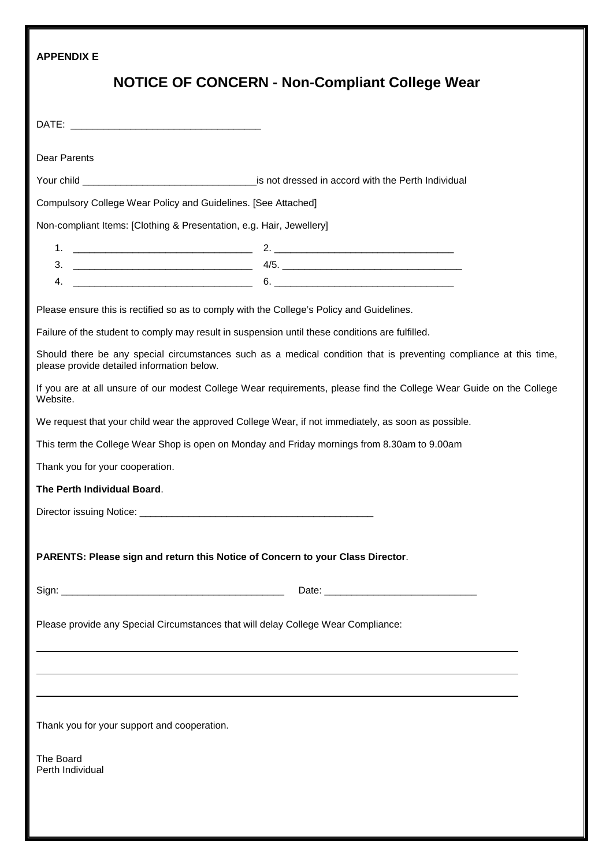| <b>APPENDIX E</b>                                                                                                                                                                                                                    |                                                                                                                                                                                                                                                                                            |
|--------------------------------------------------------------------------------------------------------------------------------------------------------------------------------------------------------------------------------------|--------------------------------------------------------------------------------------------------------------------------------------------------------------------------------------------------------------------------------------------------------------------------------------------|
|                                                                                                                                                                                                                                      | <b>NOTICE OF CONCERN - Non-Compliant College Wear</b>                                                                                                                                                                                                                                      |
|                                                                                                                                                                                                                                      |                                                                                                                                                                                                                                                                                            |
| Dear Parents                                                                                                                                                                                                                         |                                                                                                                                                                                                                                                                                            |
| Your child <b>Water and Separate Contract Contract Contract Contract Contract Contract Contract Contract Contract Contract Contract Contract Contract Contract Contract Contract Contract Contract Contract Contract Contract Co</b> |                                                                                                                                                                                                                                                                                            |
| Compulsory College Wear Policy and Guidelines. [See Attached]                                                                                                                                                                        |                                                                                                                                                                                                                                                                                            |
| Non-compliant Items: [Clothing & Presentation, e.g. Hair, Jewellery]                                                                                                                                                                 |                                                                                                                                                                                                                                                                                            |
|                                                                                                                                                                                                                                      |                                                                                                                                                                                                                                                                                            |
|                                                                                                                                                                                                                                      | 3. $\frac{1}{2}$ 4/5. $\frac{1}{2}$ 4/5. $\frac{1}{2}$ 4/5. $\frac{1}{2}$ 4/5. $\frac{1}{2}$ 4/5. $\frac{1}{2}$ 4/5. $\frac{1}{2}$ 4/5. $\frac{1}{2}$ 4/5. $\frac{1}{2}$ 4/5. $\frac{1}{2}$ 4/5. $\frac{1}{2}$ 4/5. $\frac{1}{2}$ 4/5. $\frac{1}{2}$ 4/5. $\frac{1}{2}$ 4/5. $\frac{1}{2}$ |
| 4.                                                                                                                                                                                                                                   | $\overbrace{\hspace{2.5cm}6.}$ $\overbrace{\hspace{2.5cm}6.}$ $\overbrace{\hspace{2.5cm}6.}$                                                                                                                                                                                               |
| Please ensure this is rectified so as to comply with the College's Policy and Guidelines.                                                                                                                                            |                                                                                                                                                                                                                                                                                            |
| Failure of the student to comply may result in suspension until these conditions are fulfilled.                                                                                                                                      |                                                                                                                                                                                                                                                                                            |
| please provide detailed information below.                                                                                                                                                                                           | Should there be any special circumstances such as a medical condition that is preventing compliance at this time,                                                                                                                                                                          |
| Website.                                                                                                                                                                                                                             | If you are at all unsure of our modest College Wear requirements, please find the College Wear Guide on the College                                                                                                                                                                        |
| We request that your child wear the approved College Wear, if not immediately, as soon as possible.                                                                                                                                  |                                                                                                                                                                                                                                                                                            |
| This term the College Wear Shop is open on Monday and Friday mornings from 8.30am to 9.00am                                                                                                                                          |                                                                                                                                                                                                                                                                                            |
| Thank you for your cooperation.                                                                                                                                                                                                      |                                                                                                                                                                                                                                                                                            |
| The Perth Individual Board.                                                                                                                                                                                                          |                                                                                                                                                                                                                                                                                            |
|                                                                                                                                                                                                                                      |                                                                                                                                                                                                                                                                                            |
|                                                                                                                                                                                                                                      |                                                                                                                                                                                                                                                                                            |
| PARENTS: Please sign and return this Notice of Concern to your Class Director.                                                                                                                                                       |                                                                                                                                                                                                                                                                                            |
|                                                                                                                                                                                                                                      |                                                                                                                                                                                                                                                                                            |
| Please provide any Special Circumstances that will delay College Wear Compliance:                                                                                                                                                    |                                                                                                                                                                                                                                                                                            |
|                                                                                                                                                                                                                                      |                                                                                                                                                                                                                                                                                            |
|                                                                                                                                                                                                                                      |                                                                                                                                                                                                                                                                                            |
|                                                                                                                                                                                                                                      |                                                                                                                                                                                                                                                                                            |
| Thank you for your support and cooperation.                                                                                                                                                                                          |                                                                                                                                                                                                                                                                                            |
| The Board<br>Perth Individual                                                                                                                                                                                                        |                                                                                                                                                                                                                                                                                            |
|                                                                                                                                                                                                                                      |                                                                                                                                                                                                                                                                                            |
|                                                                                                                                                                                                                                      |                                                                                                                                                                                                                                                                                            |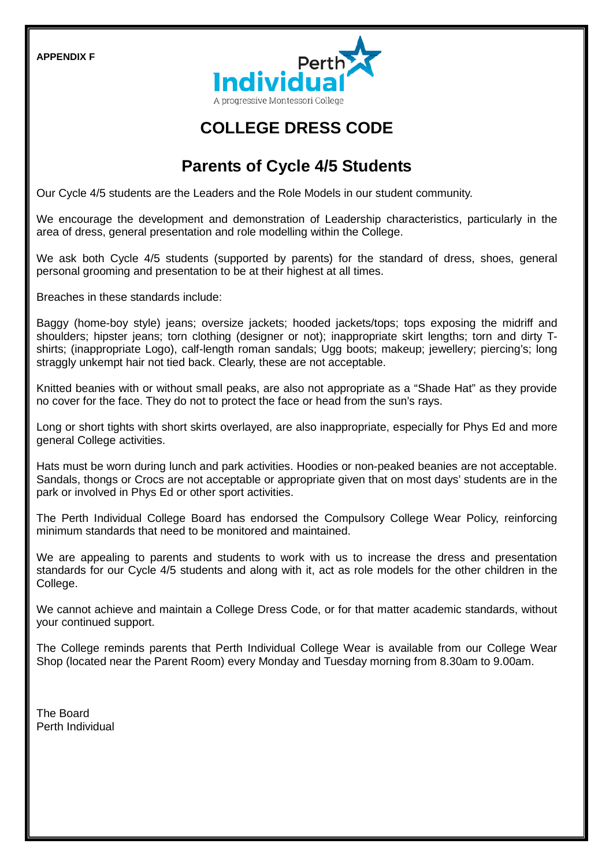**APPENDIX F**



# **COLLEGE DRESS CODE**

# **Parents of Cycle 4/5 Students**

Our Cycle 4/5 students are the Leaders and the Role Models in our student community.

We encourage the development and demonstration of Leadership characteristics, particularly in the area of dress, general presentation and role modelling within the College.

We ask both Cycle 4/5 students (supported by parents) for the standard of dress, shoes, general personal grooming and presentation to be at their highest at all times.

Breaches in these standards include:

Baggy (home-boy style) jeans; oversize jackets; hooded jackets/tops; tops exposing the midriff and shoulders; hipster jeans; torn clothing (designer or not); inappropriate skirt lengths; torn and dirty Tshirts; (inappropriate Logo), calf-length roman sandals; Ugg boots; makeup; jewellery; piercing's; long straggly unkempt hair not tied back. Clearly, these are not acceptable.

Knitted beanies with or without small peaks, are also not appropriate as a "Shade Hat" as they provide no cover for the face. They do not to protect the face or head from the sun's rays.

Long or short tights with short skirts overlayed, are also inappropriate, especially for Phys Ed and more general College activities.

Hats must be worn during lunch and park activities. Hoodies or non-peaked beanies are not acceptable. Sandals, thongs or Crocs are not acceptable or appropriate given that on most days' students are in the park or involved in Phys Ed or other sport activities.

The Perth Individual College Board has endorsed the Compulsory College Wear Policy, reinforcing minimum standards that need to be monitored and maintained.

We are appealing to parents and students to work with us to increase the dress and presentation standards for our Cycle 4/5 students and along with it, act as role models for the other children in the College.

We cannot achieve and maintain a College Dress Code, or for that matter academic standards, without your continued support.

The College reminds parents that Perth Individual College Wear is available from our College Wear Shop (located near the Parent Room) every Monday and Tuesday morning from 8.30am to 9.00am.

The Board Perth Individual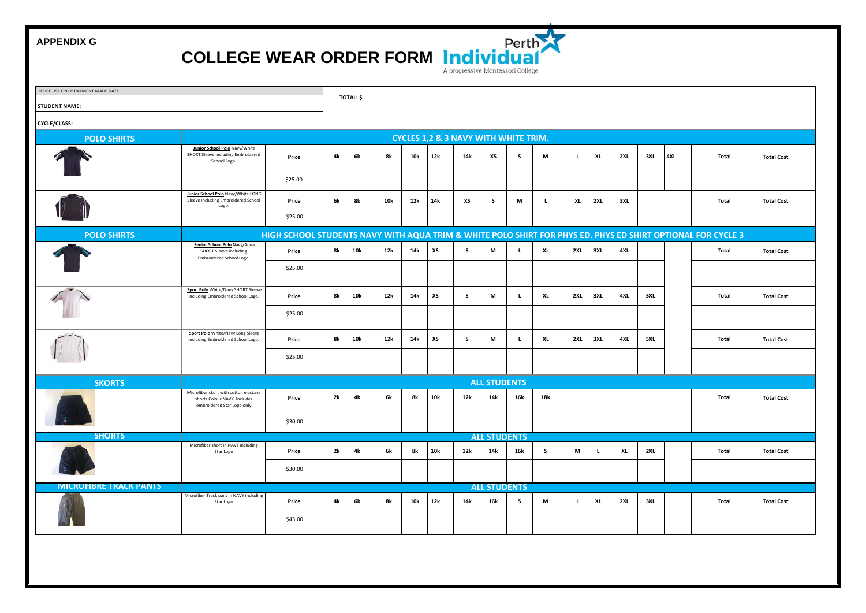**APPENDIX G**





| OFFICE USE ONLY: PAYMENT MADE DATE<br><b>STUDENT NAME:</b> |                                                                                                     |                                                                                                             |    |     | <b>TOTAL: \$</b> |     |     |     |                                                 |          |     |          |     |     |     |     |       |                   |
|------------------------------------------------------------|-----------------------------------------------------------------------------------------------------|-------------------------------------------------------------------------------------------------------------|----|-----|------------------|-----|-----|-----|-------------------------------------------------|----------|-----|----------|-----|-----|-----|-----|-------|-------------------|
| <b>CYCLE/CLASS:</b>                                        |                                                                                                     |                                                                                                             |    |     |                  |     |     |     |                                                 |          |     |          |     |     |     |     |       |                   |
| <b>POLO SHIRTS</b>                                         |                                                                                                     |                                                                                                             |    |     |                  |     |     |     | <b>CYCLES 1,2 &amp; 3 NAVY WITH WHITE TRIM.</b> |          |     |          |     |     |     |     |       |                   |
|                                                            | Junior School Polo Navy/White<br>SHORT Sleeve including Embroidered<br>School Logo.                 | Price                                                                                                       | 4k | 6k  | 8k               | 10k | 12k | 14k | xs                                              | s.       | M   | L.       | XL  | 2XL | 3XL | 4XL | Total | <b>Total Cost</b> |
|                                                            |                                                                                                     | \$25.00                                                                                                     |    |     |                  |     |     |     |                                                 |          |     |          |     |     |     |     |       |                   |
|                                                            | Junior School Polo Navy/White LONG<br>Sleeve including Embroidered School<br>Logo.                  | Price                                                                                                       | 6k | 8k  | 10k              | 12k | 14k | хs  | s                                               | M        | L.  | XL       | 2XL | 3XL |     |     | Total | <b>Total Cost</b> |
|                                                            |                                                                                                     | \$25.00                                                                                                     |    |     |                  |     |     |     |                                                 |          |     |          |     |     |     |     |       |                   |
| <b>POLO SHIRTS</b>                                         |                                                                                                     | HIGH SCHOOL STUDENTS NAVY WITH AQUA TRIM & WHITE POLO SHIRT FOR PHYS ED. PHYS ED SHIRT OPTIONAL FOR CYCLE 3 |    |     |                  |     |     |     |                                                 |          |     |          |     |     |     |     |       |                   |
|                                                            | Senior School Polo Navy/Aqua<br><b>SHORT Sleeve including</b><br>Embroidered School Logo.           | Price                                                                                                       | 8k | 10k | 12k              | 14k | хs  | s.  | M                                               | L.       | XL  | 2XL      | 3XL | 4XL |     |     | Total | <b>Total Cost</b> |
|                                                            |                                                                                                     | \$25.00                                                                                                     |    |     |                  |     |     |     |                                                 |          |     |          |     |     |     |     |       |                   |
|                                                            | Sport Polo White/Navy SHORT Sleeve<br>including Embroidered School Logo.                            | Price                                                                                                       | 8k | 10k | 12k              | 14k | XS  | s.  | M                                               | L.       | XL  | 2XL      | 3XL | 4XL | 5XL |     | Total | <b>Total Cost</b> |
|                                                            |                                                                                                     | \$25.00                                                                                                     |    |     |                  |     |     |     |                                                 |          |     |          |     |     |     |     |       |                   |
|                                                            | Sport Polo White/Navy Long Sleeve<br>including Embroidered School Logo.                             | Price                                                                                                       | 8k | 10k | 12k              | 14k | хs  | s.  | M                                               | L.       | XL  | 2XL      | 3XL | 4XL | 5XL |     | Total | <b>Total Cost</b> |
|                                                            |                                                                                                     | \$25.00                                                                                                     |    |     |                  |     |     |     |                                                 |          |     |          |     |     |     |     |       |                   |
| <b>SKORTS</b>                                              |                                                                                                     |                                                                                                             |    |     |                  |     |     |     | <b>ALL STUDENTS</b>                             |          |     |          |     |     |     |     |       |                   |
|                                                            | Microfiber skort with cotton elastane<br>shorts Colour NAVY. Includes<br>embroidered Star Logo only | Price                                                                                                       | 2k | 4k  | 6k               | 8k  | 10k | 12k | 14k                                             | 16k      | 18k |          |     |     |     |     | Total | <b>Total Cost</b> |
|                                                            |                                                                                                     | \$30.00                                                                                                     |    |     |                  |     |     |     |                                                 |          |     |          |     |     |     |     |       |                   |
| <b>SHORTS</b>                                              |                                                                                                     |                                                                                                             |    |     |                  |     |     |     | <b>ALL STUDENTS</b>                             |          |     |          |     |     |     |     |       |                   |
|                                                            | Microfiber short in NAVY including<br>Star Logo                                                     | Price                                                                                                       | 2k | 4k  | 6k               | 8k  | 10k | 12k | 14k                                             | 16k      | s   | M        | L.  | XL  | 2XL |     | Total | <b>Total Cost</b> |
|                                                            |                                                                                                     | \$30.00                                                                                                     |    |     |                  |     |     |     |                                                 |          |     |          |     |     |     |     |       |                   |
| <b>MICROFIBRE TRACK PANTS</b>                              |                                                                                                     |                                                                                                             |    |     |                  |     |     |     | <b>ALL STUDENTS</b>                             |          |     |          |     |     |     |     |       |                   |
|                                                            | Microfiber Track pant in NAVY including<br>Star Logo                                                | Price                                                                                                       | 4k | 6k  | 8k               | 10k | 12k | 14k | 16k                                             | <b>S</b> | M   | <b>L</b> | XL  | 2XL | 3XL |     | Total | <b>Total Cost</b> |
|                                                            |                                                                                                     | \$45.00                                                                                                     |    |     |                  |     |     |     |                                                 |          |     |          |     |     |     |     |       |                   |